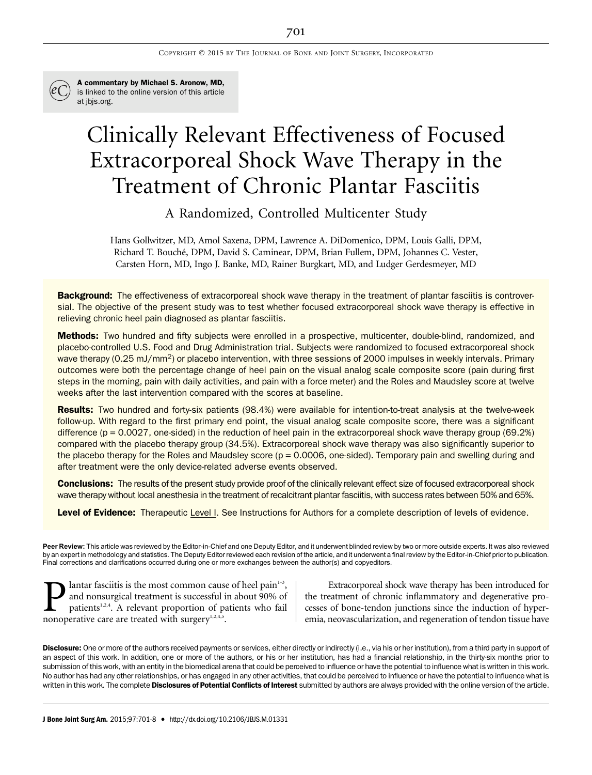

A commentary by Michael S. Aronow, MD, is linked to the online version of this article at jbjs.org.

# Clinically Relevant Effectiveness of Focused Extracorporeal Shock Wave Therapy in the Treatment of Chronic Plantar Fasciitis

A Randomized, Controlled Multicenter Study

Hans Gollwitzer, MD, Amol Saxena, DPM, Lawrence A. DiDomenico, DPM, Louis Galli, DPM, Richard T. Bouche, DPM, David S. Caminear, DPM, Brian Fullem, DPM, Johannes C. Vester, ´ Carsten Horn, MD, Ingo J. Banke, MD, Rainer Burgkart, MD, and Ludger Gerdesmeyer, MD

**Background:** The effectiveness of extracorporeal shock wave therapy in the treatment of plantar fasciitis is controversial. The objective of the present study was to test whether focused extracorporeal shock wave therapy is effective in relieving chronic heel pain diagnosed as plantar fasciitis.

Methods: Two hundred and fifty subjects were enrolled in a prospective, multicenter, double-blind, randomized, and placebo-controlled U.S. Food and Drug Administration trial. Subjects were randomized to focused extracorporeal shock wave therapy (0.25 mJ/mm<sup>2</sup>) or placebo intervention, with three sessions of 2000 impulses in weekly intervals. Primary outcomes were both the percentage change of heel pain on the visual analog scale composite score (pain during first steps in the morning, pain with daily activities, and pain with a force meter) and the Roles and Maudsley score at twelve weeks after the last intervention compared with the scores at baseline.

Results: Two hundred and forty-six patients (98.4%) were available for intention-to-treat analysis at the twelve-week follow-up. With regard to the first primary end point, the visual analog scale composite score, there was a significant difference ( $p = 0.0027$ , one-sided) in the reduction of heel pain in the extracorporeal shock wave therapy group (69.2%) compared with the placebo therapy group (34.5%). Extracorporeal shock wave therapy was also significantly superior to the placebo therapy for the Roles and Maudsley score  $(p = 0.0006,$  one-sided). Temporary pain and swelling during and after treatment were the only device-related adverse events observed.

**Conclusions:** The results of the present study provide proof of the clinically relevant effect size of focused extracorporeal shock wave therapy without local anesthesia in the treatment of recalcitrant plantar fasciitis, with success rates between 50% and 65%.

Level of Evidence: Therapeutic Level I. See Instructions for Authors for a complete description of levels of evidence.

Peer Review: This article was reviewed by the Editor-in-Chief and one Deputy Editor, and it underwent blinded review by two or more outside experts. It was also reviewed by an expert in methodology and statistics. The Deputy Editor reviewed each revision of the article, and it underwent a final review by the Editor-in-Chief prior to publication. Final corrections and clarifications occurred during one or more exchanges between the author(s) and copyeditors.

**Plantar fasciitis is the most common cause of heel pain**<sup>1-3</sup>, and nonsurgical treatment is successful in about 90% of patients<sup>1,2,4</sup>. A relevant proportion of patients who fail nonoperative care are treated with surger and nonsurgical treatment is successful in about 90% of patients<sup>1,2,4</sup>. A relevant proportion of patients who fail nonoperative care are treated with surgery $1,2,4,5$ .

Extracorporeal shock wave therapy has been introduced for the treatment of chronic inflammatory and degenerative processes of bone-tendon junctions since the induction of hyperemia, neovascularization, and regeneration of tendon tissue have

Disclosure: One or more of the authors received payments or services, either directly or indirectly (i.e., via his or her institution), from a third party in support of an aspect of this work. In addition, one or more of the authors, or his or her institution, has had a financial relationship, in the thirty-six months prior to submission of this work, with an entity in the biomedical arena that could be perceived to influence or have the potential to influence what is written in this work. No author has had any other relationships, or has engaged in any other activities, that could be perceived to influence or have the potential to influence what is written in this work. The complete Disclosures of Potential Conflicts of Interest submitted by authors are always provided with the online version of the article.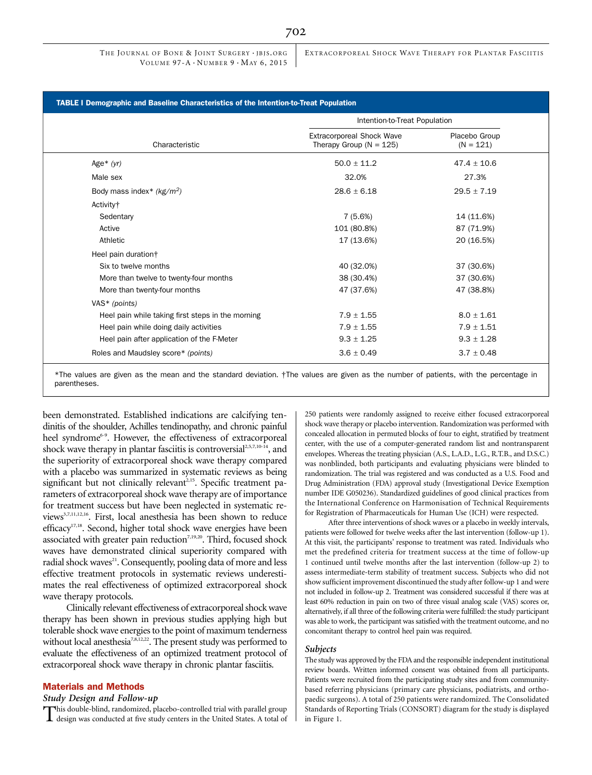EXTRACORPOREAL SHOCK WAVE THERAPY FOR PLANTAR FASCIITIS

## TABLE I Demographic and Baseline Characteristics of the Intention-to-Treat Population

|                                                   | Intention-to-Treat Population                            |                              |
|---------------------------------------------------|----------------------------------------------------------|------------------------------|
| Characteristic                                    | Extracorporeal Shock Wave<br>Therapy Group ( $N = 125$ ) | Placebo Group<br>$(N = 121)$ |
| Age $*(yr)$                                       | $50.0 \pm 11.2$                                          | $47.4 \pm 10.6$              |
| Male sex                                          | 32.0%                                                    | 27.3%                        |
| Body mass index* $(kg/m2)$                        | $28.6 \pm 6.18$                                          | $29.5 \pm 7.19$              |
| Activity <sup>+</sup>                             |                                                          |                              |
| Sedentary                                         | 7 (5.6%)                                                 | 14 (11.6%)                   |
| Active                                            | 101 (80.8%)                                              | 87 (71.9%)                   |
| Athletic                                          | 17 (13.6%)                                               | 20 (16.5%)                   |
| Heel pain duration†                               |                                                          |                              |
| Six to twelve months                              | 40 (32.0%)                                               | 37 (30.6%)                   |
| More than twelve to twenty-four months            | 38 (30.4%)                                               | 37 (30.6%)                   |
| More than twenty-four months                      | 47 (37.6%)                                               | 47 (38.8%)                   |
| VAS* (points)                                     |                                                          |                              |
| Heel pain while taking first steps in the morning | $7.9 \pm 1.55$                                           | $8.0 \pm 1.61$               |
| Heel pain while doing daily activities            | $7.9 \pm 1.55$                                           | $7.9 \pm 1.51$               |
| Heel pain after application of the F-Meter        | $9.3 \pm 1.25$                                           | $9.3 \pm 1.28$               |
| Roles and Maudsley score* (points)                | $3.6 \pm 0.49$                                           | $3.7 \pm 0.48$               |

\*The values are given as the mean and the standard deviation. †The values are given as the number of patients, with the percentage in parentheses.

been demonstrated. Established indications are calcifying tendinitis of the shoulder, Achilles tendinopathy, and chronic painful heel syndrome<sup>6-9</sup>. However, the effectiveness of extracorporeal shock wave therapy in plantar fasciitis is controversial<sup>2,5,7,10-14</sup>, and the superiority of extracorporeal shock wave therapy compared with a placebo was summarized in systematic reviews as being significant but not clinically relevant<sup>2,15</sup>. Specific treatment parameters of extracorporeal shock wave therapy are of importance for treatment success but have been neglected in systematic reviews<sup>3,7,11,12,16</sup>. First, local anesthesia has been shown to reduce efficacy<sup>17,18</sup>. Second, higher total shock wave energies have been associated with greater pain reduction<sup>7,19,20</sup>. Third, focused shock waves have demonstrated clinical superiority compared with radial shock waves<sup>21</sup>. Consequently, pooling data of more and less effective treatment protocols in systematic reviews underestimates the real effectiveness of optimized extracorporeal shock wave therapy protocols.

Clinically relevant effectiveness of extracorporeal shock wave therapy has been shown in previous studies applying high but tolerable shock wave energies to the point of maximum tenderness without local anesthesia<sup>7,8,12,22</sup>. The present study was performed to evaluate the effectiveness of an optimized treatment protocol of extracorporeal shock wave therapy in chronic plantar fasciitis.

# Materials and Methods

#### Study Design and Follow-up

This double-blind, randomized, placebo-controlled trial with parallel group design was conducted at five study centers in the United States. A total of

250 patients were randomly assigned to receive either focused extracorporeal shock wave therapy or placebo intervention. Randomization was performed with concealed allocation in permuted blocks of four to eight, stratified by treatment center, with the use of a computer-generated random list and nontransparent envelopes. Whereas the treating physician (A.S., L.A.D., L.G., R.T.B., and D.S.C.) was nonblinded, both participants and evaluating physicians were blinded to randomization. The trial was registered and was conducted as a U.S. Food and Drug Administration (FDA) approval study (Investigational Device Exemption number IDE G050236). Standardized guidelines of good clinical practices from the International Conference on Harmonisation of Technical Requirements for Registration of Pharmaceuticals for Human Use (ICH) were respected.

After three interventions of shock waves or a placebo in weekly intervals, patients were followed for twelve weeks after the last intervention (follow-up 1). At this visit, the participants' response to treatment was rated. Individuals who met the predefined criteria for treatment success at the time of follow-up 1 continued until twelve months after the last intervention (follow-up 2) to assess intermediate-term stability of treatment success. Subjects who did not show sufficient improvement discontinued the study after follow-up 1 and were not included in follow-up 2. Treatment was considered successful if there was at least 60% reduction in pain on two of three visual analog scale (VAS) scores or, alternatively, if all three of the following criteria were fulfilled: the study participant was able to work, the participant was satisfied with the treatment outcome, and no concomitant therapy to control heel pain was required.

#### Subjects

The study was approved by the FDA and the responsible independent institutional review boards. Written informed consent was obtained from all participants. Patients were recruited from the participating study sites and from communitybased referring physicians (primary care physicians, podiatrists, and orthopaedic surgeons). A total of 250 patients were randomized. The Consolidated Standards of Reporting Trials (CONSORT) diagram for the study is displayed in Figure 1.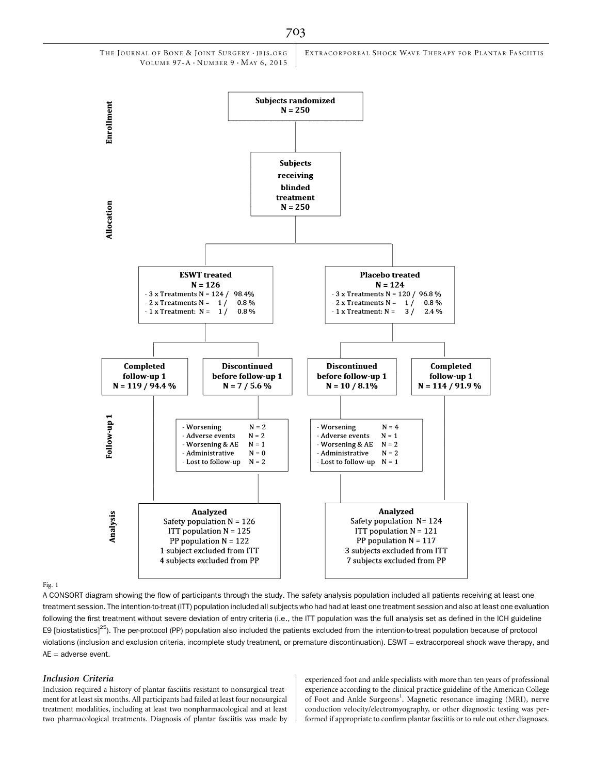

#### Fig. 1

A CONSORT diagram showing the flow of participants through the study. The safety analysis population included all patients receiving at least one treatment session. The intention-to-treat (ITT) population included all subjects who had had at least one treatment session and also at least one evaluation following the first treatment without severe deviation of entry criteria (i.e., the ITT population was the full analysis set as defined in the ICH guideline E9 [biostatistics]<sup>25</sup>). The per-protocol (PP) population also included the patients excluded from the intention-to-treat population because of protocol violations (inclusion and exclusion criteria, incomplete study treatment, or premature discontinuation). ESWT = extracorporeal shock wave therapy, and  $AE =$  adverse event.

#### Inclusion Criteria

Inclusion required a history of plantar fasciitis resistant to nonsurgical treatment for at least six months. All participants had failed at least four nonsurgical treatment modalities, including at least two nonpharmacological and at least two pharmacological treatments. Diagnosis of plantar fasciitis was made by

experienced foot and ankle specialists with more than ten years of professional experience according to the clinical practice guideline of the American College of Foot and Ankle Surgeons<sup>1</sup>. Magnetic resonance imaging (MRI), nerve conduction velocity/electromyography, or other diagnostic testing was performed if appropriate to confirm plantar fasciitis or to rule out other diagnoses.

703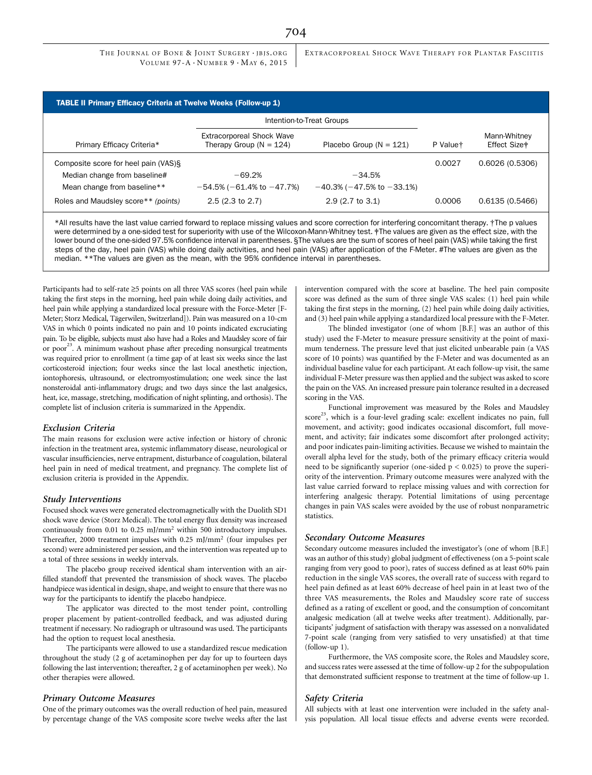THE JOURNAL OF BONE & JOINT SURGERY · JBJS.ORG VOLUME  $97-A \cdot N$ UMBER  $9 \cdot M_A$ ay 6, 2015 EXTRACORPOREAL SHOCK WAVE THERAPY FOR PLANTAR FASCIITIS

| <b>TABLE II Primary Efficacy Criteria at Twelve Weeks (Follow-up 1)</b> |                                                                 |                                      |          |                                          |  |  |  |  |  |
|-------------------------------------------------------------------------|-----------------------------------------------------------------|--------------------------------------|----------|------------------------------------------|--|--|--|--|--|
|                                                                         | Intention-to-Treat Groups                                       |                                      |          |                                          |  |  |  |  |  |
| Primary Efficacy Criteria*                                              | <b>Extracorporeal Shock Wave</b><br>Therapy Group ( $N = 124$ ) | Placebo Group ( $N = 121$ )          | P Valuet | Mann-Whitney<br>Effect Size <sup>#</sup> |  |  |  |  |  |
| Composite score for heel pain (VAS)§                                    |                                                                 |                                      | 0.0027   | 0.6026(0.5306)                           |  |  |  |  |  |
| Median change from baseline#                                            | $-69.2%$                                                        | $-34.5%$                             |          |                                          |  |  |  |  |  |
| Mean change from baseline**                                             | $-54.5\%$ ( $-61.4\%$ to $-47.7\%$ )                            | $-40.3\%$ ( $-47.5\%$ to $-33.1\%$ ) |          |                                          |  |  |  |  |  |
| Roles and Maudsley score** (points)                                     | $2.5(2.3 \text{ to } 2.7)$                                      | $2.9(2.7 \text{ to } 3.1)$           | 0.0006   | 0.6135(0.5466)                           |  |  |  |  |  |
|                                                                         |                                                                 |                                      |          |                                          |  |  |  |  |  |

\*All results have the last value carried forward to replace missing values and score correction for interfering concomitant therapy. †The p values were determined by a one-sided test for superiority with use of the Wilcoxon-Mann-Whitney test. ‡The values are given as the effect size, with the lower bound of the one-sided 97.5% confidence interval in parentheses. §The values are the sum of scores of heel pain (VAS) while taking the first steps of the day, heel pain (VAS) while doing daily activities, and heel pain (VAS) after application of the F-Meter. #The values are given as the median. \*\*The values are given as the mean, with the 95% confidence interval in parentheses.

Participants had to self-rate  $\geq$ 5 points on all three VAS scores (heel pain while taking the first steps in the morning, heel pain while doing daily activities, and heel pain while applying a standardized local pressure with the Force-Meter [F-Meter; Storz Medical, Tägerwilen, Switzerland]). Pain was measured on a 10-cm VAS in which 0 points indicated no pain and 10 points indicated excruciating pain. To be eligible, subjects must also have had a Roles and Maudsley score of fair or poor<sup>23</sup>. A minimum washout phase after preceding nonsurgical treatments was required prior to enrollment (a time gap of at least six weeks since the last corticosteroid injection; four weeks since the last local anesthetic injection, iontophoresis, ultrasound, or electromyostimulation; one week since the last nonsteroidal anti-inflammatory drugs; and two days since the last analgesics, heat, ice, massage, stretching, modification of night splinting, and orthosis). The complete list of inclusion criteria is summarized in the Appendix.

#### Exclusion Criteria

The main reasons for exclusion were active infection or history of chronic infection in the treatment area, systemic inflammatory disease, neurological or vascular insufficiencies, nerve entrapment, disturbance of coagulation, bilateral heel pain in need of medical treatment, and pregnancy. The complete list of exclusion criteria is provided in the Appendix.

#### Study Interventions

Focused shock waves were generated electromagnetically with the Duolith SD1 shock wave device (Storz Medical). The total energy flux density was increased continuously from 0.01 to 0.25 mJ/mm2 within 500 introductory impulses. Thereafter, 2000 treatment impulses with 0.25 mJ/mm2 (four impulses per second) were administered per session, and the intervention was repeated up to a total of three sessions in weekly intervals.

The placebo group received identical sham intervention with an airfilled standoff that prevented the transmission of shock waves. The placebo handpiece was identical in design, shape, and weight to ensure that there was no way for the participants to identify the placebo handpiece.

The applicator was directed to the most tender point, controlling proper placement by patient-controlled feedback, and was adjusted during treatment if necessary. No radiograph or ultrasound was used. The participants had the option to request local anesthesia.

The participants were allowed to use a standardized rescue medication throughout the study (2 g of acetaminophen per day for up to fourteen days following the last intervention; thereafter, 2 g of acetaminophen per week). No other therapies were allowed.

#### Primary Outcome Measures

One of the primary outcomes was the overall reduction of heel pain, measured by percentage change of the VAS composite score twelve weeks after the last intervention compared with the score at baseline. The heel pain composite score was defined as the sum of three single VAS scales: (1) heel pain while taking the first steps in the morning, (2) heel pain while doing daily activities, and (3) heel pain while applying a standardized local pressure with the F-Meter.

The blinded investigator (one of whom [B.F.] was an author of this study) used the F-Meter to measure pressure sensitivity at the point of maximum tenderness. The pressure level that just elicited unbearable pain (a VAS score of 10 points) was quantified by the F-Meter and was documented as an individual baseline value for each participant. At each follow-up visit, the same individual F-Meter pressure was then applied and the subject was asked to score the pain on the VAS. An increased pressure pain tolerance resulted in a decreased scoring in the VAS.

Functional improvement was measured by the Roles and Maudsley score<sup>23</sup>, which is a four-level grading scale: excellent indicates no pain, full movement, and activity; good indicates occasional discomfort, full movement, and activity; fair indicates some discomfort after prolonged activity; and poor indicates pain-limiting activities. Because we wished to maintain the overall alpha level for the study, both of the primary efficacy criteria would need to be significantly superior (one-sided  $p < 0.025$ ) to prove the superiority of the intervention. Primary outcome measures were analyzed with the last value carried forward to replace missing values and with correction for interfering analgesic therapy. Potential limitations of using percentage changes in pain VAS scales were avoided by the use of robust nonparametric statistics.

#### Secondary Outcome Measures

Secondary outcome measures included the investigator's (one of whom [B.F.] was an author of this study) global judgment of effectiveness (on a 5-point scale ranging from very good to poor), rates of success defined as at least 60% pain reduction in the single VAS scores, the overall rate of success with regard to heel pain defined as at least 60% decrease of heel pain in at least two of the three VAS measurements, the Roles and Maudsley score rate of success defined as a rating of excellent or good, and the consumption of concomitant analgesic medication (all at twelve weeks after treatment). Additionally, participants' judgment of satisfaction with therapy was assessed on a nonvalidated 7-point scale (ranging from very satisfied to very unsatisfied) at that time (follow-up 1).

Furthermore, the VAS composite score, the Roles and Maudsley score, and success rates were assessed at the time of follow-up 2 for the subpopulation that demonstrated sufficient response to treatment at the time of follow-up 1.

## Safety Criteria

All subjects with at least one intervention were included in the safety analysis population. All local tissue effects and adverse events were recorded.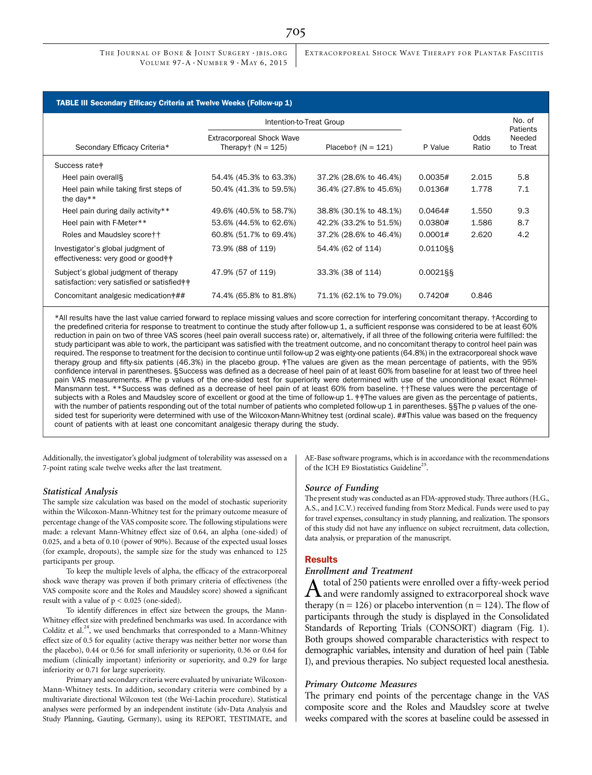EXTRACORPOREAL SHOCK WAVE THERAPY FOR PLANTAR FASCIITIS

| <b>TABLE III Secondary Efficacy Criteria at Twelve Weeks (Follow-up 1)</b>           |                                                         |                        |             |                    |                    |  |  |  |  |
|--------------------------------------------------------------------------------------|---------------------------------------------------------|------------------------|-------------|--------------------|--------------------|--|--|--|--|
|                                                                                      | Intention-to-Treat Group                                |                        |             | No. of<br>Patients |                    |  |  |  |  |
| Secondary Efficacy Criteria*                                                         | <b>Extracorporeal Shock Wave</b><br>Therapy $(N = 125)$ | Placebo† $(N = 121)$   | P Value     | Odds<br>Ratio      | Needed<br>to Treat |  |  |  |  |
| Success rate <sup>*</sup>                                                            |                                                         |                        |             |                    |                    |  |  |  |  |
| Heel pain overall§                                                                   | 54.4% (45.3% to 63.3%)                                  | 37.2% (28.6% to 46.4%) | 0.0035#     | 2.015              | 5.8                |  |  |  |  |
| Heel pain while taking first steps of<br>the day**                                   | 50.4% (41.3% to 59.5%)                                  | 36.4% (27.8% to 45.6%) | 0.0136#     | 1.778              | 7.1                |  |  |  |  |
| Heel pain during daily activity**                                                    | 49.6% (40.5% to 58.7%)                                  | 38.8% (30.1% to 48.1%) | 0.0464#     | 1.550              | 9.3                |  |  |  |  |
| Heel pain with F-Meter**                                                             | 53.6% (44.5% to 62.6%)                                  | 42.2% (33.2% to 51.5%) | 0.0380#     | 1.586              | 8.7                |  |  |  |  |
| Roles and Maudsley score † †                                                         | 60.8% (51.7% to 69.4%)                                  | 37.2% (28.6% to 46.4%) | 0.0001#     | 2.620              | 4.2                |  |  |  |  |
| Investigator's global judgment of<br>effectiveness: very good or good **             | 73.9% (88 of 119)                                       | 54.4% (62 of 114)      | 0.0110§§    |                    |                    |  |  |  |  |
| Subject's global judgment of therapy<br>satisfaction: very satisfied or satisfied ** | 47.9% (57 of 119)                                       | 33.3% (38 of 114)      | $0.0021$ §§ |                    |                    |  |  |  |  |
| Concomitant analgesic medication ###                                                 | 74.4% (65.8% to 81.8%)                                  | 71.1% (62.1% to 79.0%) | 0.7420#     | 0.846              |                    |  |  |  |  |

\*All results have the last value carried forward to replace missing values and score correction for interfering concomitant therapy. †According to the predefined criteria for response to treatment to continue the study after follow-up 1, a sufficient response was considered to be at least 60% reduction in pain on two of three VAS scores (heel pain overall success rate) or, alternatively, if all three of the following criteria were fulfilled: the study participant was able to work, the participant was satisfied with the treatment outcome, and no concomitant therapy to control heel pain was required. The response to treatment for the decision to continue until follow-up 2 was eighty-one patients (64.8%) in the extracorporeal shock wave therapy group and fifty-six patients (46.3%) in the placebo group. ‡The values are given as the mean percentage of patients, with the 95% confidence interval in parentheses. §Success was defined as a decrease of heel pain of at least 60% from baseline for at least two of three heel pain VAS measurements. #The p values of the one-sided test for superiority were determined with use of the unconditional exact Röhmel-Mansmann test. \*\*Success was defined as a decrease of heel pain of at least 60% from baseline. ††These values were the percentage of subjects with a Roles and Maudsley score of excellent or good at the time of follow-up 1. # The values are given as the percentage of patients, with the number of patients responding out of the total number of patients who completed follow-up 1 in parentheses. §§The p values of the onesided test for superiority were determined with use of the Wilcoxon-Mann-Whitney test (ordinal scale). ##This value was based on the frequency count of patients with at least one concomitant analgesic therapy during the study.

Additionally, the investigator's global judgment of tolerability was assessed on a 7-point rating scale twelve weeks after the last treatment.

## Statistical Analysis

The sample size calculation was based on the model of stochastic superiority within the Wilcoxon-Mann-Whitney test for the primary outcome measure of percentage change of the VAS composite score. The following stipulations were made: a relevant Mann-Whitney effect size of 0.64, an alpha (one-sided) of 0.025, and a beta of 0.10 (power of 90%). Because of the expected usual losses (for example, dropouts), the sample size for the study was enhanced to 125 participants per group.

To keep the multiple levels of alpha, the efficacy of the extracorporeal shock wave therapy was proven if both primary criteria of effectiveness (the VAS composite score and the Roles and Maudsley score) showed a significant result with a value of  $p < 0.025$  (one-sided).

To identify differences in effect size between the groups, the Mann-Whitney effect size with predefined benchmarks was used. In accordance with Colditz et al.<sup>24</sup>, we used benchmarks that corresponded to a Mann-Whitney effect size of 0.5 for equality (active therapy was neither better nor worse than the placebo), 0.44 or 0.56 for small inferiority or superiority, 0.36 or 0.64 for medium (clinically important) inferiority or superiority, and 0.29 for large inferiority or 0.71 for large superiority.

Primary and secondary criteria were evaluated by univariate Wilcoxon-Mann-Whitney tests. In addition, secondary criteria were combined by a multivariate directional Wilcoxon test (the Wei-Lachin procedure). Statistical analyses were performed by an independent institute (idv-Data Analysis and Study Planning, Gauting, Germany), using its REPORT, TESTIMATE, and AE-Base software programs, which is in accordance with the recommendations of the ICH E9 Biostatistics Guideline<sup>25</sup>.

## Source of Funding

The present study was conducted as an FDA-approved study. Three authors (H.G., A.S., and J.C.V.) received funding from Storz Medical. Funds were used to pay for travel expenses, consultancy in study planning, and realization. The sponsors of this study did not have any influence on subject recruitment, data collection, data analysis, or preparation of the manuscript.

## Results

# Enrollment and Treatment

A total of 250 patients were enrolled over a fifty-week period<br>and were randomly assigned to extracorporeal shock wave therapy ( $n = 126$ ) or placebo intervention ( $n = 124$ ). The flow of participants through the study is displayed in the Consolidated Standards of Reporting Trials (CONSORT) diagram (Fig. 1). Both groups showed comparable characteristics with respect to demographic variables, intensity and duration of heel pain (Table I), and previous therapies. No subject requested local anesthesia.

## Primary Outcome Measures

The primary end points of the percentage change in the VAS composite score and the Roles and Maudsley score at twelve weeks compared with the scores at baseline could be assessed in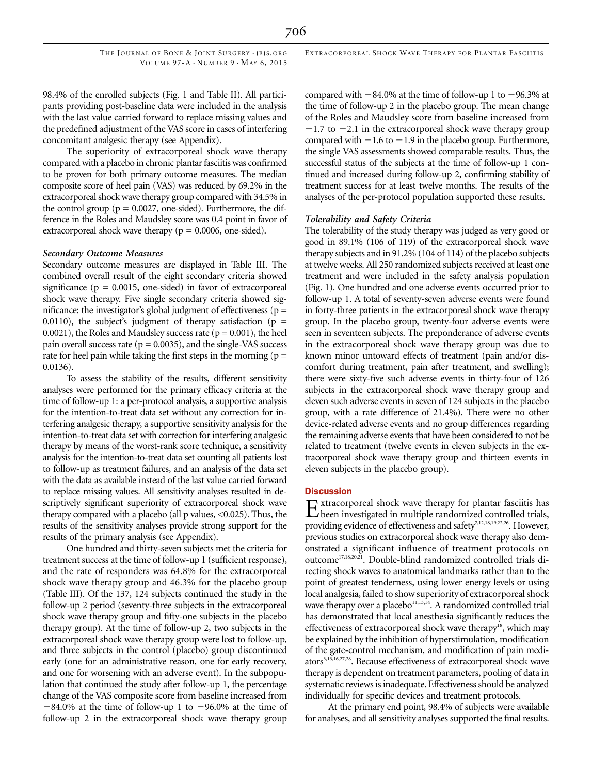EXTRACORPOREAL SHOCK WAVE THERAPY FOR PLANTAR FASCIITIS

98.4% of the enrolled subjects (Fig. 1 and Table II). All participants providing post-baseline data were included in the analysis with the last value carried forward to replace missing values and the predefined adjustment of the VAS score in cases of interfering concomitant analgesic therapy (see Appendix).

The superiority of extracorporeal shock wave therapy compared with a placebo in chronic plantar fasciitis was confirmed to be proven for both primary outcome measures. The median composite score of heel pain (VAS) was reduced by 69.2% in the extracorporeal shock wave therapy group compared with 34.5% in the control group ( $p = 0.0027$ , one-sided). Furthermore, the difference in the Roles and Maudsley score was 0.4 point in favor of extracorporeal shock wave therapy ( $p = 0.0006$ , one-sided).

## Secondary Outcome Measures

Secondary outcome measures are displayed in Table III. The combined overall result of the eight secondary criteria showed significance ( $p = 0.0015$ , one-sided) in favor of extracorporeal shock wave therapy. Five single secondary criteria showed significance: the investigator's global judgment of effectiveness ( $p =$ 0.0110), the subject's judgment of therapy satisfaction ( $p =$ 0.0021), the Roles and Maudsley success rate ( $p = 0.001$ ), the heel pain overall success rate ( $p = 0.0035$ ), and the single-VAS success rate for heel pain while taking the first steps in the morning ( $p =$ 0.0136).

To assess the stability of the results, different sensitivity analyses were performed for the primary efficacy criteria at the time of follow-up 1: a per-protocol analysis, a supportive analysis for the intention-to-treat data set without any correction for interfering analgesic therapy, a supportive sensitivity analysis for the intention-to-treat data set with correction for interfering analgesic therapy by means of the worst-rank score technique, a sensitivity analysis for the intention-to-treat data set counting all patients lost to follow-up as treatment failures, and an analysis of the data set with the data as available instead of the last value carried forward to replace missing values. All sensitivity analyses resulted in descriptively significant superiority of extracorporeal shock wave therapy compared with a placebo (all p values, <0.025). Thus, the results of the sensitivity analyses provide strong support for the results of the primary analysis (see Appendix).

One hundred and thirty-seven subjects met the criteria for treatment success at the time of follow-up 1 (sufficient response), and the rate of responders was 64.8% for the extracorporeal shock wave therapy group and 46.3% for the placebo group (Table III). Of the 137, 124 subjects continued the study in the follow-up 2 period (seventy-three subjects in the extracorporeal shock wave therapy group and fifty-one subjects in the placebo therapy group). At the time of follow-up 2, two subjects in the extracorporeal shock wave therapy group were lost to follow-up, and three subjects in the control (placebo) group discontinued early (one for an administrative reason, one for early recovery, and one for worsening with an adverse event). In the subpopulation that continued the study after follow-up 1, the percentage change of the VAS composite score from baseline increased from  $-84.0\%$  at the time of follow-up 1 to  $-96.0\%$  at the time of follow-up 2 in the extracorporeal shock wave therapy group

compared with  $-84.0\%$  at the time of follow-up 1 to  $-96.3\%$  at the time of follow-up 2 in the placebo group. The mean change of the Roles and Maudsley score from baseline increased from  $-1.7$  to  $-2.1$  in the extracorporeal shock wave therapy group compared with  $-1.6$  to  $-1.9$  in the placebo group. Furthermore, the single VAS assessments showed comparable results. Thus, the successful status of the subjects at the time of follow-up 1 continued and increased during follow-up 2, confirming stability of treatment success for at least twelve months. The results of the analyses of the per-protocol population supported these results.

## Tolerability and Safety Criteria

The tolerability of the study therapy was judged as very good or good in 89.1% (106 of 119) of the extracorporeal shock wave therapy subjects and in 91.2% (104 of 114) of the placebo subjects at twelve weeks. All 250 randomized subjects received at least one treatment and were included in the safety analysis population (Fig. 1). One hundred and one adverse events occurred prior to follow-up 1. A total of seventy-seven adverse events were found in forty-three patients in the extracorporeal shock wave therapy group. In the placebo group, twenty-four adverse events were seen in seventeen subjects. The preponderance of adverse events in the extracorporeal shock wave therapy group was due to known minor untoward effects of treatment (pain and/or discomfort during treatment, pain after treatment, and swelling); there were sixty-five such adverse events in thirty-four of 126 subjects in the extracorporeal shock wave therapy group and eleven such adverse events in seven of 124 subjects in the placebo group, with a rate difference of 21.4%). There were no other device-related adverse events and no group differences regarding the remaining adverse events that have been considered to not be related to treatment (twelve events in eleven subjects in the extracorporeal shock wave therapy group and thirteen events in eleven subjects in the placebo group).

## **Discussion**

 $\sum$ xtracorporeal shock wave therapy for plantar fasciitis has<br>been investigated in multiple randomized controlled trials, providing evidence of effectiveness and safety<sup>7,12,18,19,22,26</sup>. However, previous studies on extracorporeal shock wave therapy also demonstrated a significant influence of treatment protocols on outcome<sup>17,18,20,21</sup>. Double-blind randomized controlled trials directing shock waves to anatomical landmarks rather than to the point of greatest tenderness, using lower energy levels or using local analgesia, failed to show superiority of extracorporeal shock wave therapy over a placebo $11,13,14$ . A randomized controlled trial has demonstrated that local anesthesia significantly reduces the effectiveness of extracorporeal shock wave therapy<sup>18</sup>, which may be explained by the inhibition of hyperstimulation, modification of the gate-control mechanism, and modification of pain mediators<sup>3,13,16,27,28</sup>. Because effectiveness of extracorporeal shock wave therapy is dependent on treatment parameters, pooling of data in systematic reviews is inadequate. Effectiveness should be analyzed individually for specific devices and treatment protocols.

At the primary end point, 98.4% of subjects were available for analyses, and all sensitivity analyses supported the final results.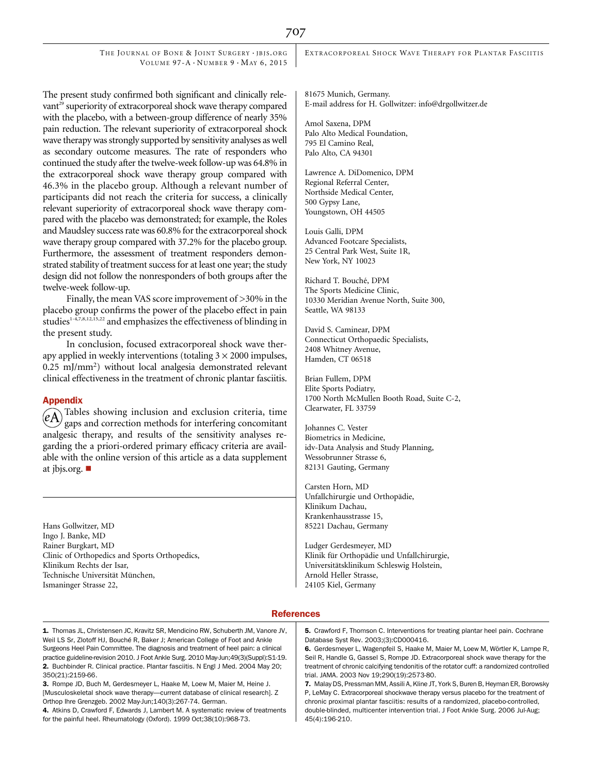THE JOURNAL OF BONE & JOINT SURGERY · JBJS.ORG VOLUME  $97-A \cdot N$ UMBER  $9 \cdot$ MAY 6, 2015

The present study confirmed both significant and clinically relevant<sup>29</sup> superiority of extracorporeal shock wave therapy compared with the placebo, with a between-group difference of nearly 35% pain reduction. The relevant superiority of extracorporeal shock wave therapy was strongly supported by sensitivity analyses as well as secondary outcome measures. The rate of responders who continued the study after the twelve-week follow-up was 64.8% in the extracorporeal shock wave therapy group compared with 46.3% in the placebo group. Although a relevant number of participants did not reach the criteria for success, a clinically relevant superiority of extracorporeal shock wave therapy compared with the placebo was demonstrated; for example, the Roles and Maudsley success rate was 60.8% for the extracorporeal shock wave therapy group compared with 37.2% for the placebo group. Furthermore, the assessment of treatment responders demonstrated stability of treatment success for at least one year; the study design did not follow the nonresponders of both groups after the twelve-week follow-up.

Finally, the mean VAS score improvement of >30% in the placebo group confirms the power of the placebo effect in pain studies<sup>1-4,7,8,12,15,22</sup> and emphasizes the effectiveness of blinding in the present study.

In conclusion, focused extracorporeal shock wave therapy applied in weekly interventions (totaling  $3 \times 2000$  impulses, 0.25 mJ/mm2 ) without local analgesia demonstrated relevant clinical effectiveness in the treatment of chronic plantar fasciitis.

## Appendix

 $(\widehat{eA})$  Tables showing inclusion and exclusion criteria, time gaps and correction methods for interfering concomitant analgesic therapy, and results of the sensitivity analyses regarding the a priori-ordered primary efficacy criteria are available with the online version of this article as a data supplement at [jbjs.org.](http://jbjs.org)  $\blacksquare$ 

Hans Gollwitzer, MD Ingo J. Banke, MD Rainer Burgkart, MD Clinic of Orthopedics and Sports Orthopedics, Klinikum Rechts der Isar, Technische Universität München, Ismaninger Strasse 22,

EXTRACORPOREAL SHOCK WAVE THERAPY FOR PLANTAR FASCIITIS

81675 Munich, Germany. E-mail address for H. Gollwitzer: info@drgollwitzer.de

Amol Saxena, DPM Palo Alto Medical Foundation, 795 El Camino Real, Palo Alto, CA 94301

Lawrence A. DiDomenico, DPM Regional Referral Center, Northside Medical Center, 500 Gypsy Lane, Youngstown, OH 44505

Louis Galli, DPM Advanced Footcare Specialists, 25 Central Park West, Suite 1R, New York, NY 10023

Richard T. Bouché, DPM The Sports Medicine Clinic, 10330 Meridian Avenue North, Suite 300, Seattle, WA 98133

David S. Caminear, DPM Connecticut Orthopaedic Specialists, 2408 Whitney Avenue, Hamden, CT 06518

Brian Fullem, DPM Elite Sports Podiatry, 1700 North McMullen Booth Road, Suite C-2, Clearwater, FL 33759

Johannes C. Vester Biometrics in Medicine, idv-Data Analysis and Study Planning, Wessobrunner Strasse 6, 82131 Gauting, Germany

Carsten Horn, MD Unfallchirurgie und Orthopadie, ¨ Klinikum Dachau, Krankenhausstrasse 15, 85221 Dachau, Germany

Ludger Gerdesmeyer, MD Klinik für Orthopädie und Unfallchirurgie, Universitatsklinikum Schleswig Holstein, ¨ Arnold Heller Strasse, 24105 Kiel, Germany

#### References

1. Thomas JL, Christensen JC, Kravitz SR, Mendicino RW, Schuberth JM, Vanore JV, Weil LS Sr, Zlotoff HJ, Bouché R, Baker J; American College of Foot and Ankle Surgeons Heel Pain Committee. The diagnosis and treatment of heel pain: a clinical practice guideline-revision 2010. J Foot Ankle Surg. 2010 May-Jun;49(3)(Suppl):S1-19. 2. Buchbinder R. Clinical practice. Plantar fasciitis. N Engl J Med. 2004 May 20; 350(21):2159-66.

3. Rompe JD, Buch M, Gerdesmeyer L, Haake M, Loew M, Maier M, Heine J. [Musculoskeletal shock wave therapy—current database of clinical research]. Z Orthop Ihre Grenzgeb. 2002 May-Jun;140(3):267-74. German.

4. Atkins D, Crawford F, Edwards J, Lambert M. A systematic review of treatments for the painful heel. Rheumatology (Oxford). 1999 Oct;38(10):968-73.

5. Crawford F, Thomson C. Interventions for treating plantar heel pain. Cochrane Database Syst Rev. 2003;(3):CD000416.

6. Gerdesmeyer L, Wagenpfeil S, Haake M, Maier M, Loew M, Wörtler K, Lampe R, Seil R, Handle G, Gassel S, Rompe JD. Extracorporeal shock wave therapy for the treatment of chronic calcifying tendonitis of the rotator cuff: a randomized controlled trial. JAMA. 2003 Nov 19;290(19):2573-80.

7. Malay DS, Pressman MM, Assili A, Kline JT, York S, Buren B, Heyman ER, Borowsky P, LeMay C. Extracorporeal shockwave therapy versus placebo for the treatment of chronic proximal plantar fasciitis: results of a randomized, placebo-controlled, double-blinded, multicenter intervention trial. J Foot Ankle Surg. 2006 Jul-Aug; 45(4):196-210.

# 707